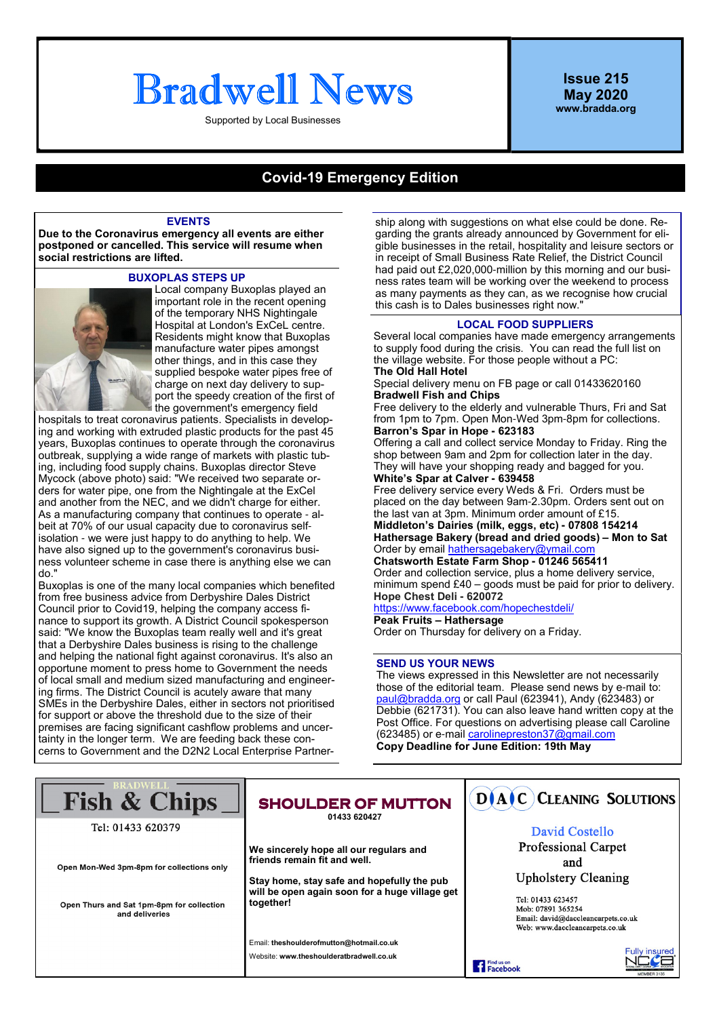# Bradwell News

Supported by Local Businesses

**Issue 215 May 2020 www.bradda.org**

# **Covid-19 Emergency Edition**

#### **EVENTS**

**Due to the Coronavirus emergency all events are either postponed or cancelled. This service will resume when social restrictions are lifted.**

#### **BUXOPLAS STEPS UP**



Local company Buxoplas played an important role in the recent opening of the temporary NHS Nightingale Hospital at London's ExCeL centre. Residents might know that Buxoplas manufacture water pipes amongst other things, and in this case they supplied bespoke water pipes free of charge on next day delivery to support the speedy creation of the first of the government's emergency field

hospitals to treat coronavirus patients. Specialists in developing and working with extruded plastic products for the past 45 years, Buxoplas continues to operate through the coronavirus outbreak, supplying a wide range of markets with plastic tubing, including food supply chains. Buxoplas director Steve Mycock (above photo) said: "We received two separate orders for water pipe, one from the Nightingale at the ExCel and another from the NEC, and we didn't charge for either. As a manufacturing company that continues to operate - albeit at 70% of our usual capacity due to coronavirus selfisolation - we were just happy to do anything to help. We have also signed up to the government's coronavirus business volunteer scheme in case there is anything else we can do."

Buxoplas is one of the many local companies which benefited from free business advice from Derbyshire Dales District Council prior to Covid19, helping the company access finance to support its growth. A District Council spokesperson said: "We know the Buxoplas team really well and it's great that a Derbyshire Dales business is rising to the challenge and helping the national fight against coronavirus. It's also an opportune moment to press home to Government the needs of local small and medium sized manufacturing and engineering firms. The District Council is acutely aware that many SMEs in the Derbyshire Dales, either in sectors not prioritised for support or above the threshold due to the size of their premises are facing significant cashflow problems and uncertainty in the longer term. We are feeding back these concerns to Government and the D2N2 Local Enterprise Partner-

ship along with suggestions on what else could be done. Regarding the grants already announced by Government for eligible businesses in the retail, hospitality and leisure sectors or in receipt of Small Business Rate Relief, the District Council had paid out £2,020,000-million by this morning and our business rates team will be working over the weekend to process as many payments as they can, as we recognise how crucial this cash is to Dales businesses right now."

# **LOCAL FOOD SUPPLIERS**

Several local companies have made emergency arrangements to supply food during the crisis. You can read the full list on the village website. For those people without a PC:

**The Old Hall Hotel**

Special delivery menu on FB page or call 01433620160 **Bradwell Fish and Chips**

Free delivery to the elderly and vulnerable Thurs, Fri and Sat from 1pm to 7pm. Open Mon-Wed 3pm-8pm for collections. **Barron's Spar in Hope - 623183**

Offering a call and collect service Monday to Friday. Ring the shop between 9am and 2pm for collection later in the day. They will have your shopping ready and bagged for you. **White's Spar at Calver - 639458**

Free delivery service every Weds & Fri. Orders must be placed on the day between 9am-2.30pm. Orders sent out on the last van at 3pm. Minimum order amount of £15. **Middleton's Dairies (milk, eggs, etc) - 07808 154214**

**Hathersage Bakery (bread and dried goods) – Mon to Sat** Order by email hathersagebakery@ymail.com

**Chatsworth Estate Farm Shop - 01246 565411** Order and collection service, plus a home delivery service, minimum spend £40 – goods must be paid for prior to delivery. **Hope Chest Deli - 620072**

https://www.facebook.com/hopechestdeli/ **Peak Fruits – Hathersage** Order on Thursday for delivery on a Friday.

### **SEND US YOUR NEWS**

The views expressed in this Newsletter are not necessarily those of the editorial team. Please send news by e-mail to: paul@bradda.org or call Paul (623941), Andy (623483) or Debbie (621731). You can also leave hand written copy at the Post Office. For questions on advertising please call Caroline (623485) or e-mail carolinepreston37@gmail.com **Copy Deadline for June Edition: 19th May**

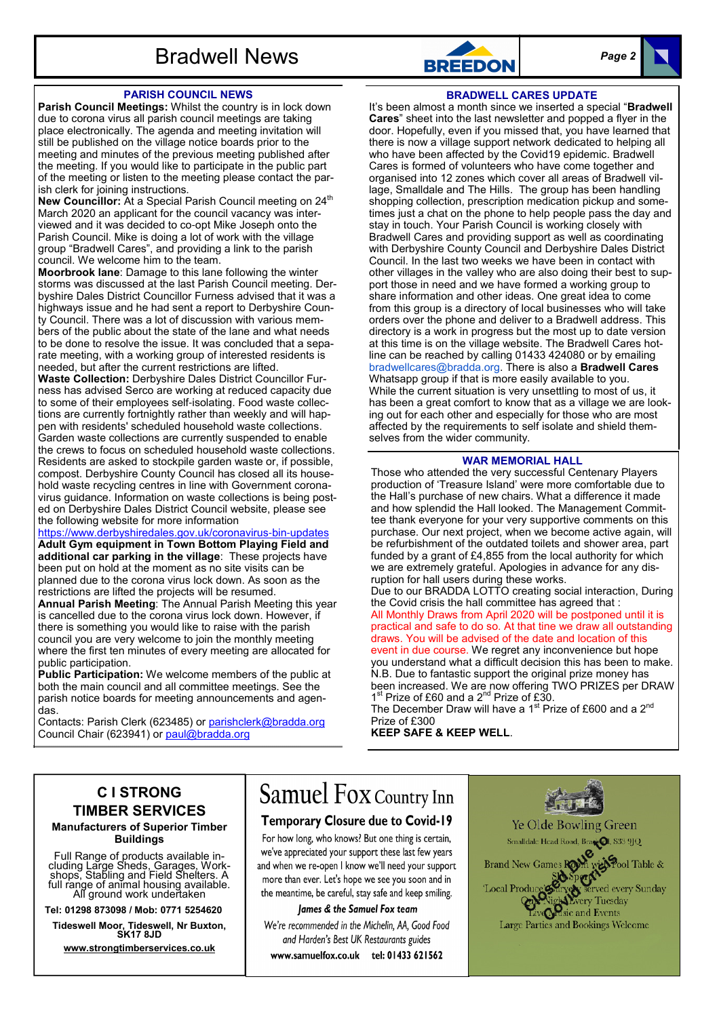# **Bradwell News BREEDON** *Page 2*

# **PARISH COUNCIL NEWS**

**Parish Council Meetings:** Whilst the country is in lock down due to corona virus all parish council meetings are taking place electronically. The agenda and meeting invitation will still be published on the village notice boards prior to the meeting and minutes of the previous meeting published after the meeting. If you would like to participate in the public part of the meeting or listen to the meeting please contact the parish clerk for joining instructions.

New Councillor: At a Special Parish Council meeting on 24<sup>th</sup> March 2020 an applicant for the council vacancy was interviewed and it was decided to co-opt Mike Joseph onto the Parish Council. Mike is doing a lot of work with the village group "Bradwell Cares", and providing a link to the parish council. We welcome him to the team.

**Moorbrook lane**: Damage to this lane following the winter storms was discussed at the last Parish Council meeting. Derbyshire Dales District Councillor Furness advised that it was a highways issue and he had sent a report to Derbyshire County Council. There was a lot of discussion with various members of the public about the state of the lane and what needs to be done to resolve the issue. It was concluded that a separate meeting, with a working group of interested residents is needed, but after the current restrictions are lifted.

**Waste Collection:** Derbyshire Dales District Councillor Furness has advised Serco are working at reduced capacity due to some of their employees self-isolating. Food waste collections are currently fortnightly rather than weekly and will happen with residents' scheduled household waste collections. Garden waste collections are currently suspended to enable the crews to focus on scheduled household waste collections. Residents are asked to stockpile garden waste or, if possible, compost. Derbyshire County Council has closed all its household waste recycling centres in line with Government coronavirus guidance. Information on waste collections is being posted on Derbyshire Dales District Council website, please see the following website for more information

https://www.derbyshiredales.gov.uk/coronavirus-bin-updates **Adult Gym equipment in Town Bottom Playing Field and additional car parking in the village**: These projects have been put on hold at the moment as no site visits can be planned due to the corona virus lock down. As soon as the restrictions are lifted the projects will be resumed.

**Annual Parish Meeting**: The Annual Parish Meeting this year is cancelled due to the corona virus lock down. However, if there is something you would like to raise with the parish council you are very welcome to join the monthly meeting where the first ten minutes of every meeting are allocated for public participation.

**Public Participation:** We welcome members of the public at both the main council and all committee meetings. See the parish notice boards for meeting announcements and agendas.

Contacts: Parish Clerk (623485) or parishclerk@bradda.org Council Chair (623941) or paul@bradda.org



### **BRADWELL CARES UPDATE**

It's been almost a month since we inserted a special "**Bradwell Cares**" sheet into the last newsletter and popped a flyer in the door. Hopefully, even if you missed that, you have learned that there is now a village support network dedicated to helping all who have been affected by the Covid19 epidemic. Bradwell Cares is formed of volunteers who have come together and organised into 12 zones which cover all areas of Bradwell village, Smalldale and The Hills. The group has been handling shopping collection, prescription medication pickup and sometimes just a chat on the phone to help people pass the day and stay in touch. Your Parish Council is working closely with Bradwell Cares and providing support as well as coordinating with Derbyshire County Council and Derbyshire Dales District Council. In the last two weeks we have been in contact with other villages in the valley who are also doing their best to support those in need and we have formed a working group to share information and other ideas. One great idea to come from this group is a directory of local businesses who will take orders over the phone and deliver to a Bradwell address. This directory is a work in progress but the most up to date version at this time is on the village website. The Bradwell Cares hotline can be reached by calling 01433 424080 or by emailing bradwellcares@bradda.org. There is also a **Bradwell Cares** Whatsapp group if that is more easily available to you. While the current situation is very unsettling to most of us, it has been a great comfort to know that as a village we are looking out for each other and especially for those who are most affected by the requirements to self isolate and shield themselves from the wider community.

# **WAR MEMORIAL HALL**

Those who attended the very successful Centenary Players production of 'Treasure Island' were more comfortable due to the Hall's purchase of new chairs. What a difference it made and how splendid the Hall looked. The Management Committee thank everyone for your very supportive comments on this purchase. Our next project, when we become active again, will be refurbishment of the outdated toilets and shower area, part funded by a grant of £4,855 from the local authority for which we are extremely grateful. Apologies in advance for any disruption for hall users during these works.

Due to our BRADDA LOTTO creating social interaction, During the Covid crisis the hall committee has agreed that :

All Monthly Draws from April 2020 will be postponed until it is practical and safe to do so. At that tine we draw all outstanding draws. You will be advised of the date and location of this

event in due course. We regret any inconvenience but hope you understand what a difficult decision this has been to make. N.B. Due to fantastic support the original prize money has been increased. We are now offering TWO PRIZES per DRAW 1<sup>st</sup> Prize of £60 and a 2<sup>nd</sup> Prize of £30.

The December Draw will have a  $1<sup>st</sup>$  Prize of £600 and a  $2<sup>nd</sup>$ Prize of £300

**KEEP SAFE & KEEP WELL**.

# **C I STRONG TIMBER SERVICES**

# **Manufacturers of Superior Timber Buildings**

Full Range of products available in-cluding Large Sheds, Garages, Work-shops, Stabling and Field Shelters. A full range of animal housing available. All ground work undertaken

**Tel: 01298 873098 / Mob: 0771 5254620**

**Tideswell Moor, Tideswell, Nr Buxton, SK17 8JD**

**www.strongtimberservices.co.uk**

# **Samuel FOX Country Inn**

# **Temporary Closure due to Covid-19**

For how long, who knows? But one thing is certain, we've appreciated your support these last few years and when we re-open I know we'll need your support more than ever. Let's hope we see you soon and in the meantime, be careful, stay safe and keep smiling.

# lames & the Samuel Fox team

We're recommended in the Michelin, AA, Good Food and Harden's Best UK Restaurants guides www.samuelfox.co.uk tel: 01433 621562

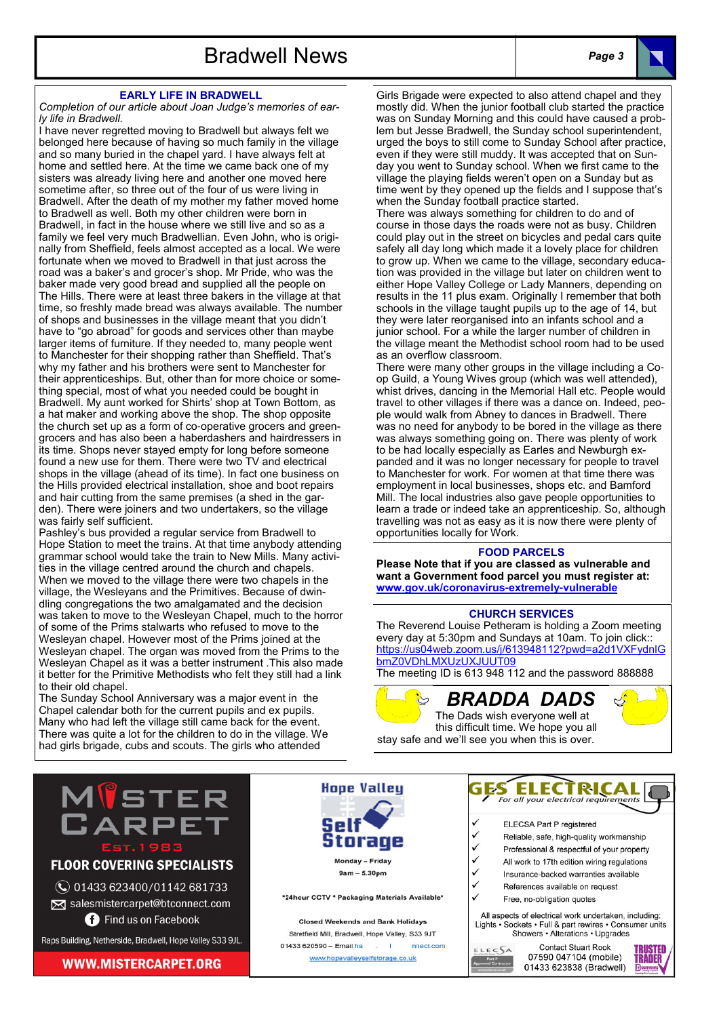# **EARLY LIFE IN BRADWELL**

*Completion of our article about Joan Judge's memories of early life in Bradwell.*

I have never regretted moving to Bradwell but always felt we belonged here because of having so much family in the village and so many buried in the chapel yard. I have always felt at home and settled here. At the time we came back one of my sisters was already living here and another one moved here sometime after, so three out of the four of us were living in Bradwell. After the death of my mother my father moved home to Bradwell as well. Both my other children were born in Bradwell, in fact in the house where we still live and so as a family we feel very much Bradwellian. Even John, who is originally from Sheffield, feels almost accepted as a local. We were fortunate when we moved to Bradwell in that just across the road was a baker's and grocer's shop. Mr Pride, who was the baker made very good bread and supplied all the people on The Hills. There were at least three bakers in the village at that time, so freshly made bread was always available. The number of shops and businesses in the village meant that you didn't have to "go abroad" for goods and services other than maybe larger items of furniture. If they needed to, many people went to Manchester for their shopping rather than Sheffield. That's why my father and his brothers were sent to Manchester for their apprenticeships. But, other than for more choice or something special, most of what you needed could be bought in Bradwell. My aunt worked for Shirts' shop at Town Bottom, as a hat maker and working above the shop. The shop opposite the church set up as a form of co-operative grocers and greengrocers and has also been a haberdashers and hairdressers in its time. Shops never stayed empty for long before someone found a new use for them. There were two TV and electrical shops in the village (ahead of its time). In fact one business on the Hills provided electrical installation, shoe and boot repairs and hair cutting from the same premises (a shed in the garden). There were joiners and two undertakers, so the village was fairly self sufficient.

Pashley's bus provided a regular service from Bradwell to Hope Station to meet the trains. At that time anybody attending grammar school would take the train to New Mills. Many activities in the village centred around the church and chapels. When we moved to the village there were two chapels in the village, the Wesleyans and the Primitives. Because of dwindling congregations the two amalgamated and the decision was taken to move to the Wesleyan Chapel, much to the horror of some of the Prims stalwarts who refused to move to the Wesleyan chapel. However most of the Prims joined at the Wesleyan chapel. The organ was moved from the Prims to the Wesleyan Chapel as it was a better instrument .This also made it better for the Primitive Methodists who felt they still had a link to their old chapel.

The Sunday School Anniversary was a major event in the Chapel calendar both for the current pupils and ex pupils. Many who had left the village still came back for the event. There was quite a lot for the children to do in the village. We had girls brigade, cubs and scouts. The girls who attended

Girls Brigade were expected to also attend chapel and they mostly did. When the junior football club started the practice was on Sunday Morning and this could have caused a problem but Jesse Bradwell, the Sunday school superintendent, urged the boys to still come to Sunday School after practice, even if they were still muddy. It was accepted that on Sunday you went to Sunday school. When we first came to the village the playing fields weren't open on a Sunday but as time went by they opened up the fields and I suppose that's when the Sunday football practice started.

There was always something for children to do and of course in those days the roads were not as busy. Children could play out in the street on bicycles and pedal cars quite safely all day long which made it a lovely place for children to grow up. When we came to the village, secondary education was provided in the village but later on children went to either Hope Valley College or Lady Manners, depending on results in the 11 plus exam. Originally I remember that both schools in the village taught pupils up to the age of 14, but they were later reorganised into an infants school and a junior school. For a while the larger number of children in the village meant the Methodist school room had to be used as an overflow classroom.

There were many other groups in the village including a Coop Guild, a Young Wives group (which was well attended), whist drives, dancing in the Memorial Hall etc. People would travel to other villages if there was a dance on. Indeed, people would walk from Abney to dances in Bradwell. There was no need for anybody to be bored in the village as there was always something going on. There was plenty of work to be had locally especially as Earles and Newburgh expanded and it was no longer necessary for people to travel to Manchester for work. For women at that time there was employment in local businesses, shops etc. and Bamford Mill. The local industries also gave people opportunities to learn a trade or indeed take an apprenticeship. So, although travelling was not as easy as it is now there were plenty of opportunities locally for Work.

#### **FOOD PARCELS**

**Please Note that if you are classed as vulnerable and want a Government food parcel you must register at: www.gov.uk/coronavirus-extremely-vulnerable**

# **CHURCH SERVICES**

The Reverend Louise Petheram is holding a Zoom meeting every day at 5:30pm and Sundays at 10am. To join click:: https://us04web.zoom.us/j/613948112?pwd=a2d1VXFydnlG bmZ0VDhLMXUzUXJUUT09

The meeting ID is 613 948 112 and the password 888888

*BRADDA DADS* The Dads wish everyone well at this difficult time. We hope you all stay safe and we'll see you when this is over.